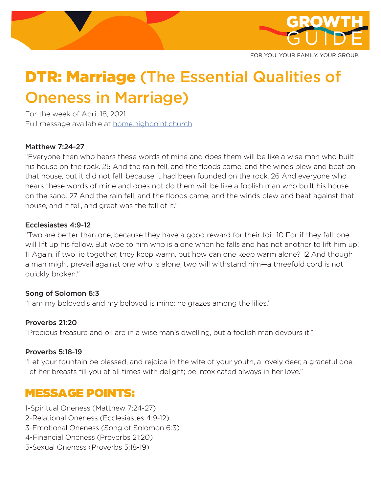

FOR YOU. YOUR FAMILY. YOUR GROUP.

# **DTR: Marriage (The Essential Qualities of** Oneness in Marriage)

For the week of April 18, 2021 Full message available at home.highpoint.church

### Matthew 7:24-27

"Everyone then who hears these words of mine and does them will be like a wise man who built his house on the rock. 25 And the rain fell, and the floods came, and the winds blew and beat on that house, but it did not fall, because it had been founded on the rock. 26 And everyone who hears these words of mine and does not do them will be like a foolish man who built his house on the sand. 27 And the rain fell, and the floods came, and the winds blew and beat against that house, and it fell, and great was the fall of it."

#### Ecclesiastes 4:9-12

"Two are better than one, because they have a good reward for their toil. 10 For if they fall, one will lift up his fellow. But woe to him who is alone when he falls and has not another to lift him up! 11 Again, if two lie together, they keep warm, but how can one keep warm alone? 12 And though a man might prevail against one who is alone, two will withstand him—a threefold cord is not quickly broken."

#### Song of Solomon 6:3

"I am my beloved's and my beloved is mine; he grazes among the lilies."

### Proverbs 21:20

"Precious treasure and oil are in a wise man's dwelling, but a foolish man devours it."

#### Proverbs 5:18-19

"Let your fountain be blessed, and rejoice in the wife of your youth, a lovely deer, a graceful doe. Let her breasts fill you at all times with delight; be intoxicated always in her love."

### MESSAGE POINTS:

1-Spiritual Oneness (Matthew 7:24-27)

- 2-Relational Oneness (Ecclesiastes 4:9-12)
- 3-Emotional Oneness (Song of Solomon 6:3)
- 4-Financial Oneness (Proverbs 21:20)
- 5-Sexual Oneness (Proverbs 5:18-19)